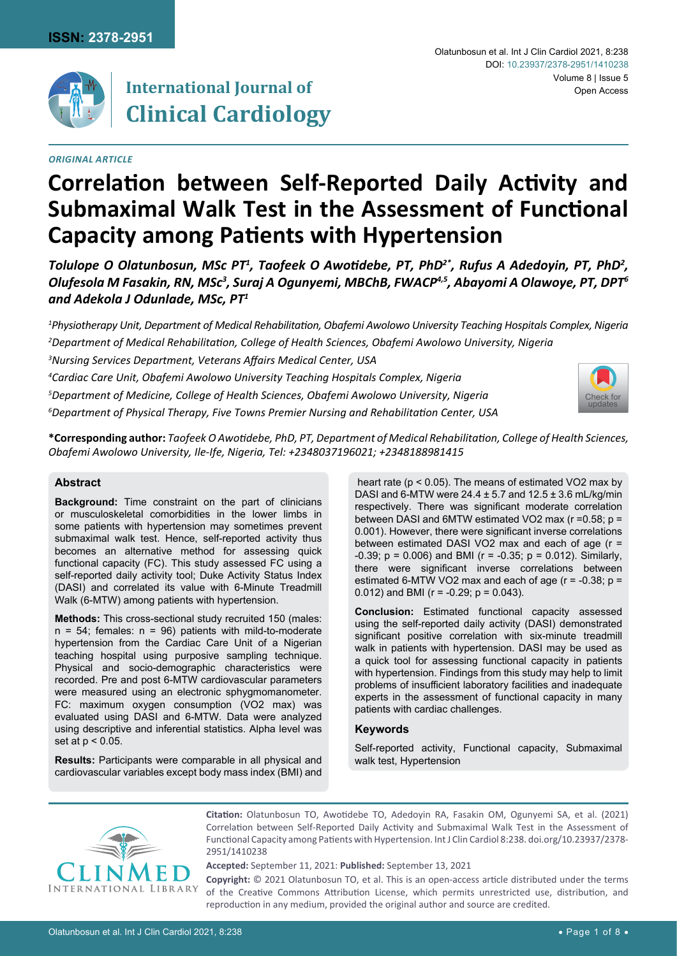

# **International Journal of Clinical Cardiology**

#### *Original Article*

# **Correlation between Self-Reported Daily Activity and Submaximal Walk Test in the Assessment of Functional Capacity among Patients with Hypertension**

*Tolulope O Olatunbosun, MSc PT1 , Taofeek O Awotidebe, PT, PhD2\*, Rufus A Adedoyin, PT, PhD<sup>2</sup> , Olufesola M Fasakin, RN, MSc<sup>3</sup> , Suraj A Ogunyemi, MBChB, FWACP4,5, Abayomi A Olawoye, PT, DPT<sup>6</sup> and Adekola J Odunlade, MSc, PT<sup>1</sup>*

 *Physiotherapy Unit, Department of Medical Rehabilitation, Obafemi Awolowo University Teaching Hospitals Complex, Nigeria Department of Medical Rehabilitation, College of Health Sciences, Obafemi Awolowo University, Nigeria Nursing Services Department, Veterans Affairs Medical Center, USA Cardiac Care Unit, Obafemi Awolowo University Teaching Hospitals Complex, Nigeria Department of Medicine, College of Health Sciences, Obafemi Awolowo University, Nigeria Department of Physical Therapy, Five Towns Premier Nursing and Rehabilitation Center, USA* [Check for](http://crossmark.crossref.org/dialog/?doi=10.23937/2378-2951/1410238&domain=pdf) updates



**\*Corresponding author:** *Taofeek O Awotidebe, PhD, PT, Department of Medical Rehabilitation, College of Health Sciences, Obafemi Awolowo University, Ile-Ife, Nigeria, Tel: +2348037196021; +2348188981415*

## **Abstract**

**Background:** Time constraint on the part of clinicians or musculoskeletal comorbidities in the lower limbs in some patients with hypertension may sometimes prevent submaximal walk test. Hence, self-reported activity thus becomes an alternative method for assessing quick functional capacity (FC). This study assessed FC using a self-reported daily activity tool; Duke Activity Status Index (DASI) and correlated its value with 6-Minute Treadmill Walk (6-MTW) among patients with hypertension.

**Methods:** This cross-sectional study recruited 150 (males:  $n = 54$ ; females:  $n = 96$ ) patients with mild-to-moderate hypertension from the Cardiac Care Unit of a Nigerian teaching hospital using purposive sampling technique. Physical and socio-demographic characteristics were recorded. Pre and post 6-MTW cardiovascular parameters were measured using an electronic sphygmomanometer. FC: maximum oxygen consumption (VO2 max) was evaluated using DASI and 6-MTW. Data were analyzed using descriptive and inferential statistics. Alpha level was set at p < 0.05.

**Results:** Participants were comparable in all physical and cardiovascular variables except body mass index (BMI) and

 heart rate (p < 0.05). The means of estimated VO2 max by DASI and 6-MTW were  $24.4 \pm 5.7$  and  $12.5 \pm 3.6$  mL/kg/min respectively. There was significant moderate correlation between DASI and 6MTW estimated VO2 max (r =0.58; p = 0.001). However, there were significant inverse correlations between estimated DASI VO2 max and each of age (r = -0.39; p = 0.006) and BMI (r = -0.35; p = 0.012). Similarly, there were significant inverse correlations between estimated 6-MTW VO2 max and each of age ( $r = -0.38$ ;  $p =$ 0.012) and BMI ( $r = -0.29$ ;  $p = 0.043$ ).

**Conclusion:** Estimated functional capacity assessed using the self-reported daily activity (DASI) demonstrated significant positive correlation with six-minute treadmill walk in patients with hypertension. DASI may be used as a quick tool for assessing functional capacity in patients with hypertension. Findings from this study may help to limit problems of insufficient laboratory facilities and inadequate experts in the assessment of functional capacity in many patients with cardiac challenges.

## **Keywords**

Self-reported activity, Functional capacity, Submaximal walk test, Hypertension



**Citation:** Olatunbosun TO, Awotidebe TO, Adedoyin RA, Fasakin OM, Ogunyemi SA, et al. (2021) Correlation between Self-Reported Daily Activity and Submaximal Walk Test in the Assessment of Functional Capacity among Patients with Hypertension. Int J Clin Cardiol 8:238. [doi.org/10.23937/2378-](https://doi.org/10.23937/2378-2951/1410238) [2951/1410238](https://doi.org/10.23937/2378-2951/1410238)

**Accepted:** September 11, 2021: **Published:** September 13, 2021

**Copyright:** © 2021 Olatunbosun TO, et al. This is an open-access article distributed under the terms of the Creative Commons Attribution License, which permits unrestricted use, distribution, and reproduction in any medium, provided the original author and source are credited.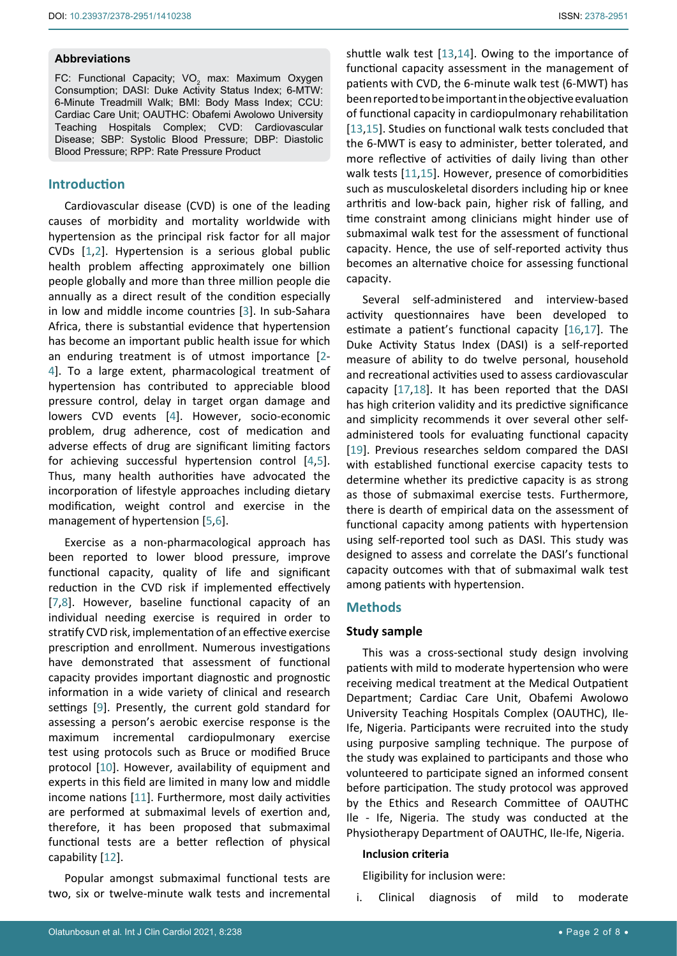#### **Abbreviations**

FC: Functional Capacity; VO $_{\rm 2}$  max: Maximum Oxygen Consumption; DASI: Duke Activity Status Index; 6-MTW: 6-Minute Treadmill Walk; BMI: Body Mass Index; CCU: Cardiac Care Unit; OAUTHC: Obafemi Awolowo University Teaching Hospitals Complex; CVD: Cardiovascular Disease; SBP: Systolic Blood Pressure; DBP: Diastolic Blood Pressure; RPP: Rate Pressure Product

# **Introduction**

Cardiovascular disease (CVD) is one of the leading causes of morbidity and mortality worldwide with hypertension as the principal risk factor for all major CVDs [\[1](#page-6-4),[2](#page-6-5)]. Hypertension is a serious global public health problem affecting approximately one billion people globally and more than three million people die annually as a direct result of the condition especially in low and middle income countries [[3](#page-6-6)]. In sub-Sahara Africa, there is substantial evidence that hypertension has become an important public health issue for which an enduring treatment is of utmost importance [[2](#page-6-5)- [4](#page-6-7)]. To a large extent, pharmacological treatment of hypertension has contributed to appreciable blood pressure control, delay in target organ damage and lowers CVD events [\[4\]](#page-6-7). However, socio-economic problem, drug adherence, cost of medication and adverse effects of drug are significant limiting factors for achieving successful hypertension control [[4](#page-6-7),[5](#page-6-8)]. Thus, many health authorities have advocated the incorporation of lifestyle approaches including dietary modification, weight control and exercise in the management of hypertension [\[5](#page-6-8),[6](#page-6-9)].

Exercise as a non-pharmacological approach has been reported to lower blood pressure, improve functional capacity, quality of life and significant reduction in the CVD risk if implemented effectively [[7](#page-6-10),[8\]](#page-6-11). However, baseline functional capacity of an individual needing exercise is required in order to stratify CVD risk, implementation of an effective exercise prescription and enrollment. Numerous investigations have demonstrated that assessment of functional capacity provides important diagnostic and prognostic information in a wide variety of clinical and research settings [\[9\]](#page-6-12). Presently, the current gold standard for assessing a person's aerobic exercise response is the maximum incremental cardiopulmonary exercise test using protocols such as Bruce or modified Bruce protocol [[10\]](#page-6-13). However, availability of equipment and experts in this field are limited in many low and middle income nations [\[11](#page-6-3)]. Furthermore, most daily activities are performed at submaximal levels of exertion and, therefore, it has been proposed that submaximal functional tests are a better reflection of physical capability [\[12\]](#page-6-14).

Popular amongst submaximal functional tests are two, six or twelve-minute walk tests and incremental shuttle walk test [\[13](#page-6-0),[14](#page-6-1)]. Owing to the importance of functional capacity assessment in the management of patients with CVD, the 6-minute walk test (6-MWT) has been reported to be important in the objective evaluation of functional capacity in cardiopulmonary rehabilitation [\[13](#page-6-0),[15](#page-6-2)]. Studies on functional walk tests concluded that the 6-MWT is easy to administer, better tolerated, and more reflective of activities of daily living than other walk tests [[11](#page-6-3),[15\]](#page-6-2). However, presence of comorbidities such as musculoskeletal disorders including hip or knee arthritis and low-back pain, higher risk of falling, and time constraint among clinicians might hinder use of submaximal walk test for the assessment of functional capacity. Hence, the use of self-reported activity thus becomes an alternative choice for assessing functional capacity.

Several self-administered and interview-based activity questionnaires have been developed to estimate a patient's functional capacity [[16](#page-7-0),[17\]](#page-7-1). The Duke Activity Status Index (DASI) is a self-reported measure of ability to do twelve personal, household and recreational activities used to assess cardiovascular capacity [[17](#page-7-1),[18\]](#page-7-2). It has been reported that the DASI has high criterion validity and its predictive significance and simplicity recommends it over several other selfadministered tools for evaluating functional capacity [\[19](#page-7-3)]. Previous researches seldom compared the DASI with established functional exercise capacity tests to determine whether its predictive capacity is as strong as those of submaximal exercise tests. Furthermore, there is dearth of empirical data on the assessment of functional capacity among patients with hypertension using self-reported tool such as DASI. This study was designed to assess and correlate the DASI's functional capacity outcomes with that of submaximal walk test among patients with hypertension.

## **Methods**

## **Study sample**

This was a cross-sectional study design involving patients with mild to moderate hypertension who were receiving medical treatment at the Medical Outpatient Department; Cardiac Care Unit, Obafemi Awolowo University Teaching Hospitals Complex (OAUTHC), Ile-Ife, Nigeria. Participants were recruited into the study using purposive sampling technique. The purpose of the study was explained to participants and those who volunteered to participate signed an informed consent before participation. The study protocol was approved by the Ethics and Research Committee of OAUTHC Ile - Ife, Nigeria. The study was conducted at the Physiotherapy Department of OAUTHC, Ile-Ife, Nigeria.

#### **Inclusion criteria**

Eligibility for inclusion were:

i. Clinical diagnosis of mild to moderate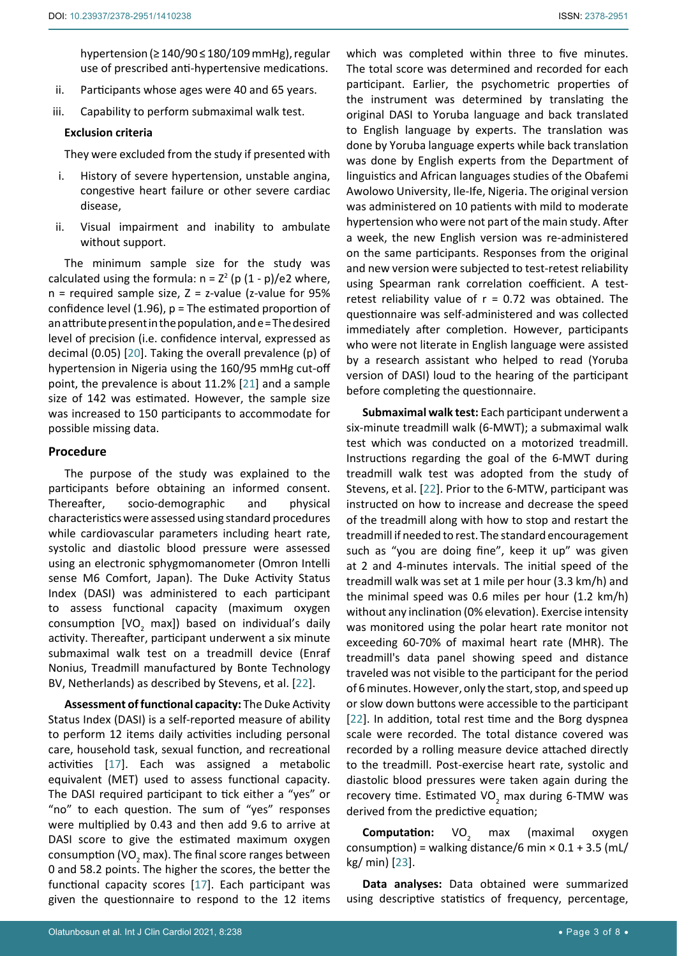hypertension (≥ 140/90 ≤ 180/109 mmHg), regular use of prescribed anti-hypertensive medications.

- ii. Participants whose ages were 40 and 65 years.
- iii. Capability to perform submaximal walk test.

#### **Exclusion criteria**

They were excluded from the study if presented with

- i. History of severe hypertension, unstable angina, congestive heart failure or other severe cardiac disease,
- ii. Visual impairment and inability to ambulate without support.

The minimum sample size for the study was calculated using the formula:  $n = Z^2$  (p  $(1 - p)/e^2$  where,  $n =$  required sample size,  $Z =$  z-value (z-value for 95% confidence level (1.96),  $p =$  The estimated proportion of an attribute present in the population, and e = The desired level of precision (i.e. confidence interval, expressed as decimal (0.05) [\[20](#page-7-6)]. Taking the overall prevalence (p) of hypertension in Nigeria using the 160/95 mmHg cut-off point, the prevalence is about 11.2% [\[21\]](#page-7-7) and a sample size of 142 was estimated. However, the sample size was increased to 150 participants to accommodate for possible missing data.

#### **Procedure**

The purpose of the study was explained to the participants before obtaining an informed consent. Thereafter, socio-demographic and physical characteristics were assessed using standard procedures while cardiovascular parameters including heart rate, systolic and diastolic blood pressure were assessed using an electronic sphygmomanometer (Omron Intelli sense M6 Comfort, Japan). The Duke Activity Status Index (DASI) was administered to each participant to assess functional capacity (maximum oxygen consumption [VO<sub>2</sub> max]) based on individual's daily activity. Thereafter, participant underwent a six minute submaximal walk test on a treadmill device (Enraf Nonius, Treadmill manufactured by Bonte Technology BV, Netherlands) as described by Stevens, et al. [\[22](#page-7-4)].

**Assessment of functional capacity:** The Duke Activity Status Index (DASI) is a self-reported measure of ability to perform 12 items daily activities including personal care, household task, sexual function, and recreational activities [[17\]](#page-7-1). Each was assigned a metabolic equivalent (MET) used to assess functional capacity. The DASI required participant to tick either a "yes" or "no" to each question. The sum of "yes" responses were multiplied by 0.43 and then add 9.6 to arrive at DASI score to give the estimated maximum oxygen consumption (VO<sub>2</sub> max). The final score ranges between 0 and 58.2 points. The higher the scores, the better the functional capacity scores [\[17](#page-7-1)]. Each participant was given the questionnaire to respond to the 12 items

which was completed within three to five minutes. The total score was determined and recorded for each participant. Earlier, the psychometric properties of the instrument was determined by translating the original DASI to Yoruba language and back translated to English language by experts. The translation was done by Yoruba language experts while back translation was done by English experts from the Department of linguistics and African languages studies of the Obafemi Awolowo University, Ile-Ife, Nigeria. The original version was administered on 10 patients with mild to moderate hypertension who were not part of the main study. After a week, the new English version was re-administered on the same participants. Responses from the original and new version were subjected to test-retest reliability using Spearman rank correlation coefficient. A testretest reliability value of  $r = 0.72$  was obtained. The questionnaire was self-administered and was collected immediately after completion. However, participants who were not literate in English language were assisted by a research assistant who helped to read (Yoruba version of DASI) loud to the hearing of the participant before completing the questionnaire.

**Submaximal walk test:** Each participant underwent a six-minute treadmill walk (6-MWT); a submaximal walk test which was conducted on a motorized treadmill. Instructions regarding the goal of the 6-MWT during treadmill walk test was adopted from the study of Stevens, et al. [[22\]](#page-7-4). Prior to the 6-MTW, participant was instructed on how to increase and decrease the speed of the treadmill along with how to stop and restart the treadmill if needed to rest. The standard encouragement such as "you are doing fine", keep it up" was given at 2 and 4-minutes intervals. The initial speed of the treadmill walk was set at 1 mile per hour (3.3 km/h) and the minimal speed was 0.6 miles per hour (1.2 km/h) without any inclination (0% elevation). Exercise intensity was monitored using the polar heart rate monitor not exceeding 60-70% of maximal heart rate (MHR). The treadmill's data panel showing speed and distance traveled was not visible to the participant for the period of 6 minutes. However, only the start, stop, and speed up or slow down buttons were accessible to the participant [\[22](#page-7-4)]. In addition, total rest time and the Borg dyspnea scale were recorded. The total distance covered was recorded by a rolling measure device attached directly to the treadmill. Post-exercise heart rate, systolic and diastolic blood pressures were taken again during the recovery time. Estimated VO<sub>2</sub> max during 6-TMW was derived from the predictive equation;

**Computation:** VO<sub>2</sub> max max (maximal oxygen consumption) = walking distance/6 min  $\times$  0.1 + 3.5 (mL/ kg/ min) [[23](#page-7-5)].

**Data analyses:** Data obtained were summarized using descriptive statistics of frequency, percentage,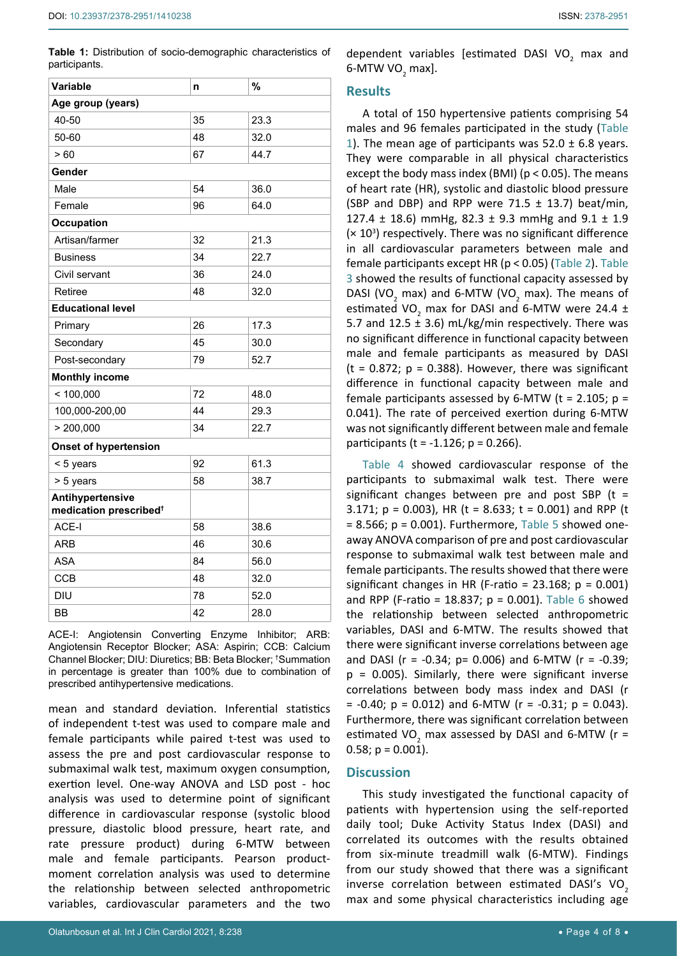<span id="page-3-0"></span>**Table 1:** Distribution of socio-demographic characteristics of participants.

| Variable                                               | n  | %    |  |  |  |
|--------------------------------------------------------|----|------|--|--|--|
| Age group (years)                                      |    |      |  |  |  |
| 40-50                                                  | 35 | 23.3 |  |  |  |
| 50-60                                                  | 48 | 32.0 |  |  |  |
| >60                                                    | 67 | 44.7 |  |  |  |
| Gender                                                 |    |      |  |  |  |
| Male                                                   | 54 | 36.0 |  |  |  |
| Female                                                 | 96 | 64.0 |  |  |  |
| Occupation                                             |    |      |  |  |  |
| Artisan/farmer                                         | 32 | 21.3 |  |  |  |
| <b>Business</b>                                        | 34 | 22.7 |  |  |  |
| Civil servant                                          | 36 | 24.0 |  |  |  |
| Retiree                                                | 48 | 32.0 |  |  |  |
| <b>Educational level</b>                               |    |      |  |  |  |
| Primary                                                | 26 | 17.3 |  |  |  |
| Secondary                                              | 45 | 30.0 |  |  |  |
| Post-secondary                                         | 79 | 52.7 |  |  |  |
| <b>Monthly income</b>                                  |    |      |  |  |  |
| < 100,000                                              | 72 | 48.0 |  |  |  |
| 100,000-200,00                                         | 44 | 29.3 |  |  |  |
| > 200,000                                              | 34 | 22.7 |  |  |  |
| <b>Onset of hypertension</b>                           |    |      |  |  |  |
| < 5 years                                              | 92 | 61.3 |  |  |  |
| > 5 years                                              | 58 | 38.7 |  |  |  |
| Antihypertensive<br>medication prescribed <sup>+</sup> |    |      |  |  |  |
| ACE-I                                                  | 58 | 38.6 |  |  |  |
| ARB                                                    | 46 | 30.6 |  |  |  |
| <b>ASA</b>                                             | 84 | 56.0 |  |  |  |
| <b>CCB</b>                                             | 48 | 32.0 |  |  |  |
| DIU                                                    | 78 | 52.0 |  |  |  |
| <b>BB</b>                                              | 42 | 28.0 |  |  |  |

ACE-I: Angiotensin Converting Enzyme Inhibitor; ARB: Angiotensin Receptor Blocker; ASA: Aspirin; CCB: Calcium Channel Blocker; DIU: Diuretics; BB: Beta Blocker; † Summation in percentage is greater than 100% due to combination of prescribed antihypertensive medications.

mean and standard deviation. Inferential statistics of independent t-test was used to compare male and female participants while paired t-test was used to assess the pre and post cardiovascular response to submaximal walk test, maximum oxygen consumption, exertion level. One-way ANOVA and LSD post - hoc analysis was used to determine point of significant difference in cardiovascular response (systolic blood pressure, diastolic blood pressure, heart rate, and rate pressure product) during 6-MTW between male and female participants. Pearson productmoment correlation analysis was used to determine the relationship between selected anthropometric variables, cardiovascular parameters and the two dependent variables [estimated DASI VO<sub>2</sub> max and 6-MTW VO $_2$  max].

## **Results**

A total of 150 hypertensive patients comprising 54 males and 96 females participated in the study [\(Table](#page-3-0)  [1](#page-3-0)). The mean age of participants was  $52.0 \pm 6.8$  years. They were comparable in all physical characteristics except the body mass index (BMI) ( $p < 0.05$ ). The means of heart rate (HR), systolic and diastolic blood pressure (SBP and DBP) and RPP were  $71.5 \pm 13.7$ ) beat/min, 127.4  $\pm$  18.6) mmHg, 82.3  $\pm$  9.3 mmHg and 9.1  $\pm$  1.9  $(x 10<sup>3</sup>)$  respectively. There was no significant difference in all cardiovascular parameters between male and female participants except HR (p < 0.05) ([Table 2\)](#page-4-0). [Table](#page-4-1)  [3](#page-4-1) showed the results of functional capacity assessed by DASI (VO<sub>2</sub> max) and 6-MTW (VO<sub>2</sub> max). The means of estimated VO<sub>2</sub> max for DASI and 6-MTW were 24.4  $\pm$ 5.7 and 12.5  $\pm$  3.6) mL/kg/min respectively. There was no significant difference in functional capacity between male and female participants as measured by DASI ( $t = 0.872$ ;  $p = 0.388$ ). However, there was significant difference in functional capacity between male and female participants assessed by 6-MTW ( $t = 2.105$ ;  $p =$ 0.041). The rate of perceived exertion during 6-MTW was not significantly different between male and female participants ( $t = -1.126$ ;  $p = 0.266$ ).

[Table 4](#page-4-2) showed cardiovascular response of the participants to submaximal walk test. There were significant changes between pre and post SBP ( $t =$ 3.171;  $p = 0.003$ ), HR (t = 8.633; t = 0.001) and RPP (t  $= 8.566$ ;  $p = 0.001$ ). Furthermore, [Table 5](#page-4-3) showed oneaway ANOVA comparison of pre and post cardiovascular response to submaximal walk test between male and female participants. The results showed that there were significant changes in HR (F-ratio =  $23.168$ ; p =  $0.001$ ) and RPP (F-ratio = 18.837;  $p = 0.001$ ). [Table 6](#page-5-0) showed the relationship between selected anthropometric variables, DASI and 6-MTW. The results showed that there were significant inverse correlations between age and DASI ( $r = -0.34$ ;  $p = 0.006$ ) and 6-MTW ( $r = -0.39$ ;  $p = 0.005$ ). Similarly, there were significant inverse correlations between body mass index and DASI (r  $= -0.40$ ;  $p = 0.012$ ) and 6-MTW ( $r = -0.31$ ;  $p = 0.043$ ). Furthermore, there was significant correlation between estimated VO<sub>2</sub> max assessed by DASI and 6-MTW ( $r =$ 0.58;  $p = 0.001$ ).

# **Discussion**

This study investigated the functional capacity of patients with hypertension using the self-reported daily tool; Duke Activity Status Index (DASI) and correlated its outcomes with the results obtained from six-minute treadmill walk (6-MTW). Findings from our study showed that there was a significant inverse correlation between estimated DASI's VO<sub>2</sub> max and some physical characteristics including age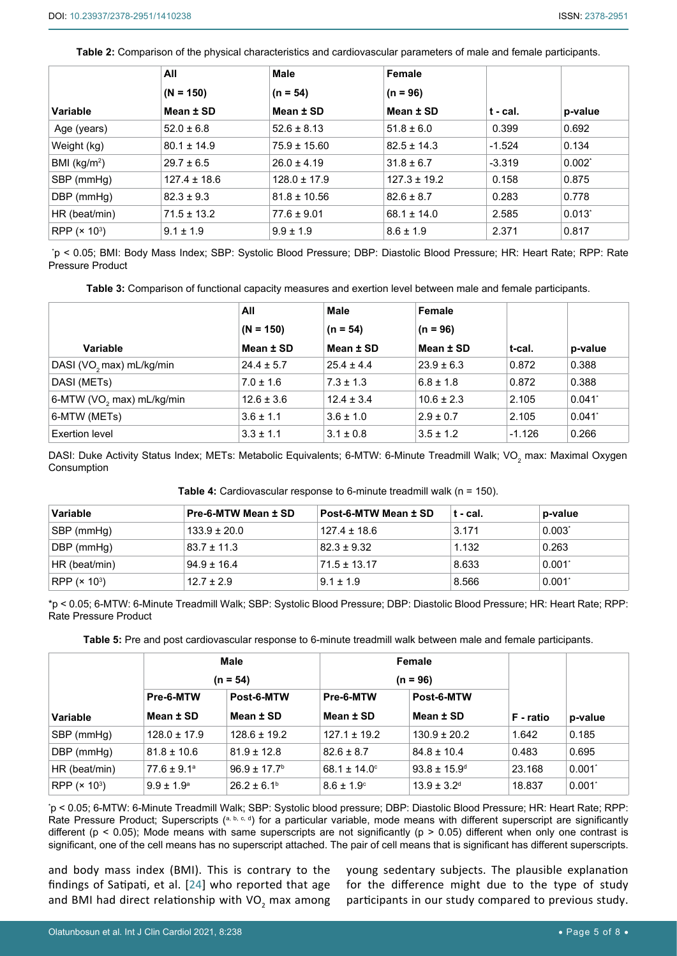<span id="page-4-0"></span>**Table 2:** Comparison of the physical characteristics and cardiovascular parameters of male and female participants.

|                 | All              | Male             | Female           |          |             |
|-----------------|------------------|------------------|------------------|----------|-------------|
|                 | $(N = 150)$      | $(n = 54)$       | $(n = 96)$       |          |             |
| Variable        | Mean ± SD        | Mean ± SD        | Mean ± SD        | t - cal. | p-value     |
| Age (years)     | $52.0 \pm 6.8$   | $52.6 \pm 8.13$  | $51.8 \pm 6.0$   | 0.399    | 0.692       |
| Weight (kg)     | $80.1 \pm 14.9$  | $75.9 \pm 15.60$ | $82.5 \pm 14.3$  | $-1.524$ | 0.134       |
| BMI ( $kg/m2$ ) | $29.7 \pm 6.5$   | $26.0 \pm 4.19$  | $31.8 \pm 6.7$   | $-3.319$ | $0.002^*$   |
| SBP (mmHg)      | $127.4 \pm 18.6$ | $128.0 \pm 17.9$ | $127.3 \pm 19.2$ | 0.158    | 0.875       |
| DBP (mmHg)      | $82.3 \pm 9.3$   | $81.8 \pm 10.56$ | $82.6 \pm 8.7$   | 0.283    | 0.778       |
| HR (beat/min)   | $71.5 \pm 13.2$  | $77.6 \pm 9.01$  | $68.1 \pm 14.0$  | 2.585    | $0.013^{*}$ |
| RPP $(x 10^3)$  | $9.1 \pm 1.9$    | $9.9 \pm 1.9$    | $8.6 \pm 1.9$    | 2.371    | 0.817       |

\* p < 0.05; BMI: Body Mass Index; SBP: Systolic Blood Pressure; DBP: Diastolic Blood Pressure; HR: Heart Rate; RPP: Rate Pressure Product

<span id="page-4-1"></span>**Table 3:** Comparison of functional capacity measures and exertion level between male and female participants.

|                                       | All            | <b>Male</b><br>Female |                |          |                      |
|---------------------------------------|----------------|-----------------------|----------------|----------|----------------------|
|                                       | $(N = 150)$    | $(n = 54)$            | $(n = 96)$     |          |                      |
| Variable                              | Mean ± SD      | Mean ± SD             | Mean ± SD      | t-cal.   | p-value              |
| DASI (VO <sub>2</sub> max) mL/kg/min  | $24.4 \pm 5.7$ | $25.4 \pm 4.4$        | $23.9 \pm 6.3$ | 0.872    | 0.388                |
| DASI (METs)                           | $7.0 \pm 1.6$  | $7.3 \pm 1.3$         | $6.8 \pm 1.8$  | 0.872    | 0.388                |
| 6-MTW (VO <sub>2</sub> max) mL/kg/min | $12.6 \pm 3.6$ | $12.4 \pm 3.4$        | $10.6 \pm 2.3$ | 2.105    | $0.041$ <sup>*</sup> |
| 6-MTW (METs)                          | $3.6 \pm 1.1$  | $3.6 \pm 1.0$         | $2.9 \pm 0.7$  | 2.105    | $0.041$ <sup>*</sup> |
| Exertion level                        | $3.3 \pm 1.1$  | $3.1 \pm 0.8$         | $3.5 \pm 1.2$  | $-1.126$ | 0.266                |

DASI: Duke Activity Status Index; METs: Metabolic Equivalents; 6-MTW: 6-Minute Treadmill Walk; VO $_{\rm 2}$  max: Maximal Oxygen Consumption

<span id="page-4-2"></span>**Table 4:** Cardiovascular response to 6-minute treadmill walk (n = 150).

| Variable                 | Pre-6-MTW Mean ± SD | Post-6-MTW Mean ± SD | t - cal. | p-value   |
|--------------------------|---------------------|----------------------|----------|-----------|
| SBP (mmHg)               | $133.9 \pm 20.0$    | $127.4 \pm 18.6$     | 3.171    | $0.003^*$ |
| DBP (mmHg)               | $83.7 \pm 11.3$     | $82.3 \pm 9.32$      | 1.132    | 0.263     |
| HR (beat/min)            | $94.9 \pm 16.4$     | $71.5 \pm 13.17$     | 8.633    | $0.001^*$ |
| RPP (x 10 <sup>3</sup> ) | $12.7 \pm 2.9$      | $9.1 \pm 1.9$        | 8.566    | 0.001'    |

\*p < 0.05; 6-MTW: 6-Minute Treadmill Walk; SBP: Systolic Blood Pressure; DBP: Diastolic Blood Pressure; HR: Heart Rate; RPP: Rate Pressure Product

<span id="page-4-3"></span>**Table 5:** Pre and post cardiovascular response to 6-minute treadmill walk between male and female participants.

|                |                        | Male                         |                        | Female                       |           |           |
|----------------|------------------------|------------------------------|------------------------|------------------------------|-----------|-----------|
|                |                        | $(n = 54)$                   |                        | $(n = 96)$                   |           |           |
|                | Pre-6-MTW              | Post-6-MTW                   | Pre-6-MTW              | Post-6-MTW                   |           |           |
| Variable       | Mean ± SD              | Mean ± SD                    | Mean ± SD              | Mean $±$ SD                  | F - ratio | p-value   |
| SBP (mmHg)     | $128.0 \pm 17.9$       | $128.6 \pm 19.2$             | $127.1 \pm 19.2$       | $130.9 \pm 20.2$             | 1.642     | 0.185     |
| DBP (mmHg)     | $81.8 \pm 10.6$        | $81.9 \pm 12.8$              | $82.6 \pm 8.7$         | $84.8 \pm 10.4$              | 0.483     | 0.695     |
| HR (beat/min)  | $77.6 \pm 9.1^{\circ}$ | $96.9 \pm 17.7$ <sup>b</sup> | 68.1 ± 14.0 $^{\circ}$ | $93.8 \pm 15.9$ <sup>d</sup> | 23.168    | $0.001^*$ |
| RPP $(x 10^3)$ | $9.9 \pm 1.9^{\circ}$  | $26.2 \pm 6.1$ <sup>b</sup>  | $8.6 \pm 1.9^{\circ}$  | $13.9 \pm 3.2$ <sup>d</sup>  | 18.837    | $0.001^*$ |

\* p < 0.05; 6-MTW: 6-Minute Treadmill Walk; SBP: Systolic blood pressure; DBP: Diastolic Blood Pressure; HR: Heart Rate; RPP: Rate Pressure Product; Superscripts (a, b, c, d) for a particular variable, mode means with different superscript are significantly different ( $p < 0.05$ ); Mode means with same superscripts are not significantly ( $p > 0.05$ ) different when only one contrast is significant, one of the cell means has no superscript attached. The pair of cell means that is significant has different superscripts.

and body mass index (BMI). This is contrary to the findings of Satipati, et al. [\[24\]](#page-7-8) who reported that age and BMI had direct relationship with VO<sub>2</sub> max among young sedentary subjects. The plausible explanation for the difference might due to the type of study participants in our study compared to previous study.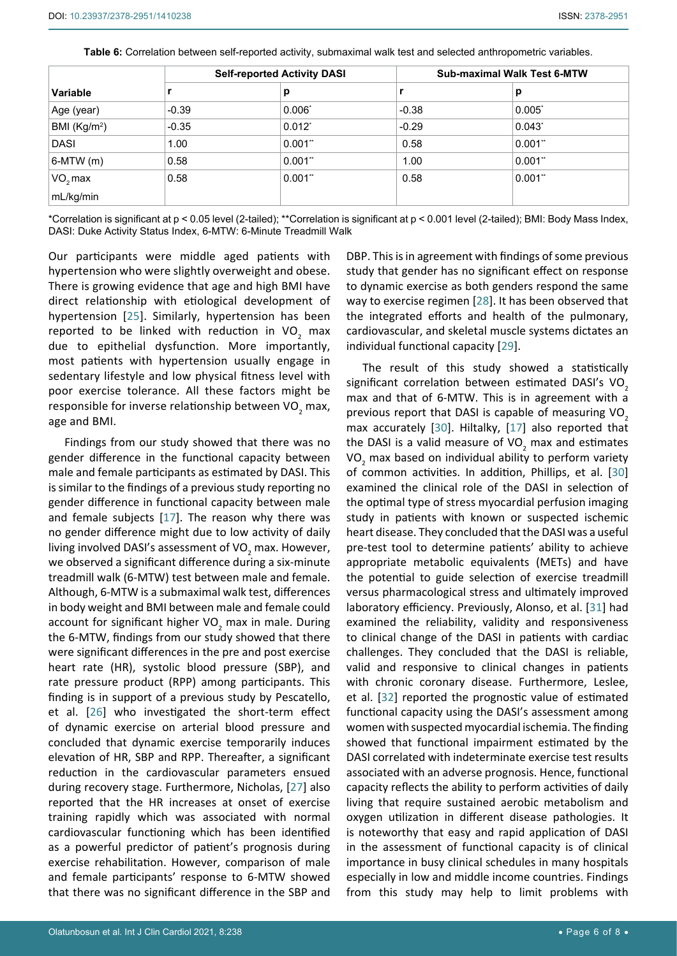|               |         | <b>Self-reported Activity DASI</b> |         | <b>Sub-maximal Walk Test 6-MTW</b> |  |  |
|---------------|---------|------------------------------------|---------|------------------------------------|--|--|
| Variable      |         | р                                  |         | р                                  |  |  |
| Age (year)    | $-0.39$ | $0.006*$                           | $-0.38$ | $0.005^*$                          |  |  |
| BMI $(Kg/m2)$ | $-0.35$ | $0.012^{*}$                        | $-0.29$ | $0.043^{*}$                        |  |  |
| <b>DASI</b>   | 1.00    | $0.001$ **                         | 0.58    | $0.001$ **                         |  |  |
| $6-MTW(m)$    | 0.58    | 0.001"                             | 1.00    | $0.001$ **                         |  |  |
| $VO2$ max     | 0.58    | 0.001"                             | 0.58    | $0.001$ **                         |  |  |
| mL/kg/min     |         |                                    |         |                                    |  |  |

<span id="page-5-0"></span>**Table 6:** Correlation between self-reported activity, submaximal walk test and selected anthropometric variables.

\*Correlation is significant at p < 0.05 level (2-tailed); \*\*Correlation is significant at p < 0.001 level (2-tailed); BMI: Body Mass Index, DASI: Duke Activity Status Index, 6-MTW: 6-Minute Treadmill Walk

Our participants were middle aged patients with hypertension who were slightly overweight and obese. There is growing evidence that age and high BMI have direct relationship with etiological development of hypertension [[25\]](#page-7-14). Similarly, hypertension has been reported to be linked with reduction in VO<sub>2</sub> max due to epithelial dysfunction. More importantly, most patients with hypertension usually engage in sedentary lifestyle and low physical fitness level with poor exercise tolerance. All these factors might be responsible for inverse relationship between VO<sub>2</sub> max, age and BMI.

Findings from our study showed that there was no gender difference in the functional capacity between male and female participants as estimated by DASI. This is similar to the findings of a previous study reporting no gender difference in functional capacity between male and female subjects [[17\]](#page-7-1). The reason why there was no gender difference might due to low activity of daily living involved DASI's assessment of VO<sub>2</sub> max. However, we observed a significant difference during a six-minute treadmill walk (6-MTW) test between male and female. Although, 6-MTW is a submaximal walk test, differences in body weight and BMI between male and female could account for significant higher VO<sub>2</sub> max in male. During the 6-MTW, findings from our study showed that there were significant differences in the pre and post exercise heart rate (HR), systolic blood pressure (SBP), and rate pressure product (RPP) among participants. This finding is in support of a previous study by Pescatello, et al. [\[26](#page-7-15)] who investigated the short-term effect of dynamic exercise on arterial blood pressure and concluded that dynamic exercise temporarily induces elevation of HR, SBP and RPP. Thereafter, a significant reduction in the cardiovascular parameters ensued during recovery stage. Furthermore, Nicholas, [\[27](#page-7-16)] also reported that the HR increases at onset of exercise training rapidly which was associated with normal cardiovascular functioning which has been identified as a powerful predictor of patient's prognosis during exercise rehabilitation. However, comparison of male and female participants' response to 6-MTW showed that there was no significant difference in the SBP and

DBP. This is in agreement with findings of some previous study that gender has no significant effect on response to dynamic exercise as both genders respond the same way to exercise regimen [\[28](#page-7-9)]. It has been observed that the integrated efforts and health of the pulmonary, cardiovascular, and skeletal muscle systems dictates an individual functional capacity [[29](#page-7-10)].

The result of this study showed a statistically significant correlation between estimated DASI's VO<sub>2</sub> max and that of 6-MTW. This is in agreement with a previous report that DASI is capable of measuring VO<sub>2</sub> max accurately [\[30](#page-7-11)]. Hiltalky, [\[17\]](#page-7-1) also reported that the DASI is a valid measure of VO<sub>2</sub> max and estimates VO<sub>2</sub> max based on individual ability to perform variety of common activities. In addition, Phillips, et al. [\[30](#page-7-11)] examined the clinical role of the DASI in selection of the optimal type of stress myocardial perfusion imaging study in patients with known or suspected ischemic heart disease. They concluded that the DASI was a useful pre-test tool to determine patients' ability to achieve appropriate metabolic equivalents (METs) and have the potential to guide selection of exercise treadmill versus pharmacological stress and ultimately improved laboratory efficiency. Previously, Alonso, et al. [[31\]](#page-7-12) had examined the reliability, validity and responsiveness to clinical change of the DASI in patients with cardiac challenges. They concluded that the DASI is reliable, valid and responsive to clinical changes in patients with chronic coronary disease. Furthermore, Leslee, et al. [\[32\]](#page-7-13) reported the prognostic value of estimated functional capacity using the DASI's assessment among women with suspected myocardial ischemia. The finding showed that functional impairment estimated by the DASI correlated with indeterminate exercise test results associated with an adverse prognosis. Hence, functional capacity reflects the ability to perform activities of daily living that require sustained aerobic metabolism and oxygen utilization in different disease pathologies. It is noteworthy that easy and rapid application of DASI in the assessment of functional capacity is of clinical importance in busy clinical schedules in many hospitals especially in low and middle income countries. Findings from this study may help to limit problems with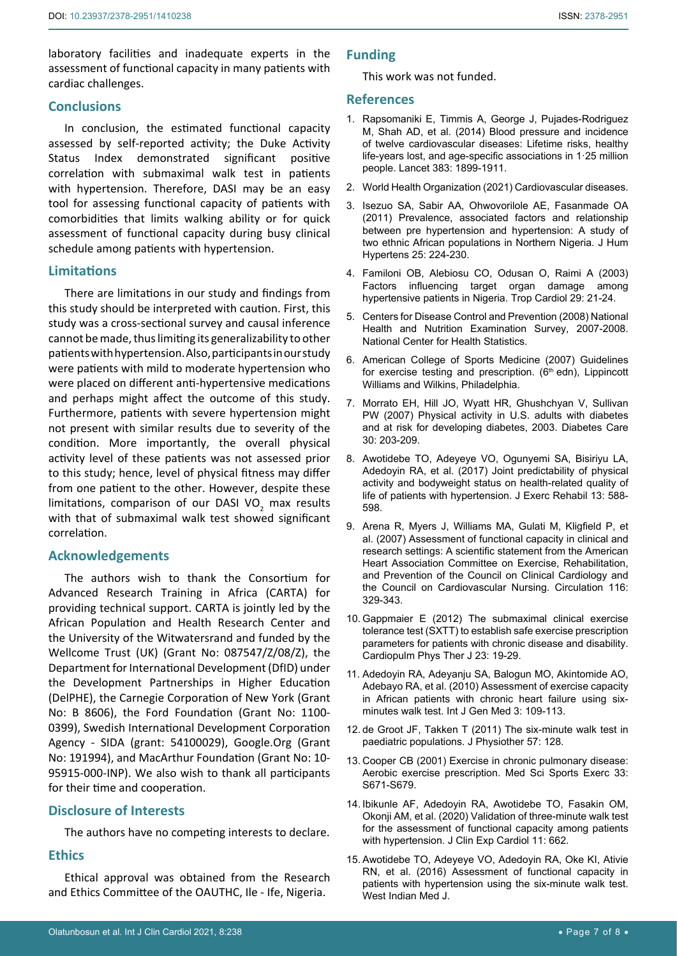laboratory facilities and inadequate experts in the assessment of functional capacity in many patients with cardiac challenges.

## **Conclusions**

In conclusion, the estimated functional capacity assessed by self-reported activity; the Duke Activity Status Index demonstrated significant positive correlation with submaximal walk test in patients with hypertension. Therefore, DASI may be an easy tool for assessing functional capacity of patients with comorbidities that limits walking ability or for quick assessment of functional capacity during busy clinical schedule among patients with hypertension.

## **Limitations**

There are limitations in our study and findings from this study should be interpreted with caution. First, this study was a cross-sectional survey and causal inference cannot be made, thus limiting its generalizability to other patients with hypertension. Also, participants in our study were patients with mild to moderate hypertension who were placed on different anti-hypertensive medications and perhaps might affect the outcome of this study. Furthermore, patients with severe hypertension might not present with similar results due to severity of the condition. More importantly, the overall physical activity level of these patients was not assessed prior to this study; hence, level of physical fitness may differ from one patient to the other. However, despite these limitations, comparison of our DASI VO<sub>2</sub> max results with that of submaximal walk test showed significant correlation.

# **Acknowledgements**

The authors wish to thank the Consortium for Advanced Research Training in Africa (CARTA) for providing technical support. CARTA is jointly led by the African Population and Health Research Center and the University of the Witwatersrand and funded by the Wellcome Trust (UK) (Grant No: 087547/Z/08/Z), the Department for International Development (DfID) under the Development Partnerships in Higher Education (DelPHE), the Carnegie Corporation of New York (Grant No: B 8606), the Ford Foundation (Grant No: 1100- 0399), Swedish International Development Corporation Agency - SIDA (grant: 54100029), Google.Org (Grant No: 191994), and MacArthur Foundation (Grant No: 10- 95915-000-INP). We also wish to thank all participants for their time and cooperation.

## **Disclosure of Interests**

The authors have no competing interests to declare.

## **Ethics**

Ethical approval was obtained from the Research and Ethics Committee of the OAUTHC, Ile - Ife, Nigeria.

## **Funding**

This work was not funded.

#### **References**

- <span id="page-6-4"></span>1. [Rapsomaniki E, Timmis A, George J, Pujades-Rodriguez](https://pubmed.ncbi.nlm.nih.gov/24881994/)  [M, Shah AD, et al. \(2014\) Blood pressure and incidence](https://pubmed.ncbi.nlm.nih.gov/24881994/)  [of twelve cardiovascular diseases: Lifetime risks, healthy](https://pubmed.ncbi.nlm.nih.gov/24881994/)  [life-years lost, and age-specific associations in 1·25 million](https://pubmed.ncbi.nlm.nih.gov/24881994/)  [people. Lancet 383: 1899-1911.](https://pubmed.ncbi.nlm.nih.gov/24881994/)
- <span id="page-6-5"></span>2. [World Health Organization \(2021\) Cardiovascular diseases.](https://www.who.int/en/news-room/fact-sheets/detail/cardiovascular-diseases-(cvds))
- <span id="page-6-6"></span>3. [Isezuo SA, Sabir AA, Ohwovorilole AE, Fasanmade OA](https://www.readcube.com/articles/10.1038/jhh.2010.56)  [\(2011\) Prevalence, associated factors and relationship](https://www.readcube.com/articles/10.1038/jhh.2010.56)  [between pre hypertension and hypertension: A study of](https://www.readcube.com/articles/10.1038/jhh.2010.56)  [two ethnic African populations in Northern Nigeria. J Hum](https://www.readcube.com/articles/10.1038/jhh.2010.56)  [Hypertens 25: 224-230.](https://www.readcube.com/articles/10.1038/jhh.2010.56)
- <span id="page-6-7"></span>4. [Familoni OB, Alebiosu CO, Odusan O, Raimi A \(2003\)](https://pascal-francis.inist.fr/vibad/index.php?action=getRecordDetail&idt=14945622)  [Factors influencing target organ damage among](https://pascal-francis.inist.fr/vibad/index.php?action=getRecordDetail&idt=14945622)  [hypertensive patients in Nigeria. Trop Cardiol 29: 21-24.](https://pascal-francis.inist.fr/vibad/index.php?action=getRecordDetail&idt=14945622)
- <span id="page-6-8"></span>5. [Centers for Disease Control and Prevention \(2008\) National](https://www.cdc.gov/nchs/data/nhanes/nhanes_07_08/overviewbrochure_0708.pdf)  [Health and Nutrition Examination Survey, 2007-2008.](https://www.cdc.gov/nchs/data/nhanes/nhanes_07_08/overviewbrochure_0708.pdf)  [National Center for Health Statistics.](https://www.cdc.gov/nchs/data/nhanes/nhanes_07_08/overviewbrochure_0708.pdf)
- <span id="page-6-9"></span>6. American College of Sports Medicine (2007) Guidelines for exercise testing and prescription.  $(6<sup>th</sup>$  edn), Lippincott Williams and Wilkins, Philadelphia.
- <span id="page-6-10"></span>7. [Morrato EH, Hill JO, Wyatt HR, Ghushchyan V, Sullivan](https://care.diabetesjournals.org/content/30/2/203)  [PW \(2007\) Physical activity in U.S. adults with diabetes](https://care.diabetesjournals.org/content/30/2/203)  [and at risk for developing diabetes, 2003. Diabetes Care](https://care.diabetesjournals.org/content/30/2/203)  [30: 203-209.](https://care.diabetesjournals.org/content/30/2/203)
- <span id="page-6-11"></span>8. [Awotidebe TO, Adeyeye VO, Ogunyemi SA, Bisiriyu LA,](https://pubmed.ncbi.nlm.nih.gov/29114535/)  [Adedoyin RA, et al. \(2017\) Joint predictability of physical](https://pubmed.ncbi.nlm.nih.gov/29114535/)  [activity and bodyweight status on health-related quality of](https://pubmed.ncbi.nlm.nih.gov/29114535/)  [life of patients with hypertension. J Exerc Rehabil 13: 588-](https://pubmed.ncbi.nlm.nih.gov/29114535/) [598.](https://pubmed.ncbi.nlm.nih.gov/29114535/)
- <span id="page-6-12"></span>9. [Arena R, Myers J, Williams MA, Gulati M, Kligfield P, et](https://pubmed.ncbi.nlm.nih.gov/17576872/)  [al. \(2007\) Assessment of functional capacity in clinical and](https://pubmed.ncbi.nlm.nih.gov/17576872/)  [research settings: A scientific statement from the American](https://pubmed.ncbi.nlm.nih.gov/17576872/)  [Heart Association Committee on Exercise, Rehabilitation,](https://pubmed.ncbi.nlm.nih.gov/17576872/)  [and Prevention of the Council on Clinical Cardiology and](https://pubmed.ncbi.nlm.nih.gov/17576872/)  [the Council on Cardiovascular Nursing. Circulation 116:](https://pubmed.ncbi.nlm.nih.gov/17576872/)  [329-343.](https://pubmed.ncbi.nlm.nih.gov/17576872/)
- <span id="page-6-13"></span>10. [Gappmaier E \(2012\) The submaximal clinical exercise](https://pubmed.ncbi.nlm.nih.gov/22833706/)  [tolerance test \(SXTT\) to establish safe exercise prescription](https://pubmed.ncbi.nlm.nih.gov/22833706/)  [parameters for patients with chronic disease and disability.](https://pubmed.ncbi.nlm.nih.gov/22833706/)  [Cardiopulm Phys Ther J 23: 19-29.](https://pubmed.ncbi.nlm.nih.gov/22833706/)
- <span id="page-6-3"></span>11. [Adedoyin RA, Adeyanju SA, Balogun MO, Akintomide AO,](https://pubmed.ncbi.nlm.nih.gov/20463828/)  [Adebayo RA, et al. \(2010\) Assessment of exercise capacity](https://pubmed.ncbi.nlm.nih.gov/20463828/)  [in African patients with chronic heart failure using six](https://pubmed.ncbi.nlm.nih.gov/20463828/)[minutes walk test. Int J Gen Med 3: 109-113.](https://pubmed.ncbi.nlm.nih.gov/20463828/)
- <span id="page-6-14"></span>12. [de Groot JF, Takken T \(2011\) The six-minute walk test in](https://pubmed.ncbi.nlm.nih.gov/21684497/)  [paediatric populations. J Physiother 57: 128.](https://pubmed.ncbi.nlm.nih.gov/21684497/)
- <span id="page-6-0"></span>13. [Cooper CB \(2001\) Exercise in chronic pulmonary disease:](https://pubmed.ncbi.nlm.nih.gov/11462076/)  [Aerobic exercise prescription. Med Sci Sports Exerc 33:](https://pubmed.ncbi.nlm.nih.gov/11462076/)  [S671-S679.](https://pubmed.ncbi.nlm.nih.gov/11462076/)
- <span id="page-6-1"></span>14. [Ibikunle AF, Adedoyin RA, Awotidebe TO, Fasakin OM,](https://www.longdom.org/open-access/validation-of-threeminute-walk-test-for-the-assessment-of-functional-capacity-among-patients-with-hypertension.pdf)  [Okonji AM, et al. \(2020\) Validation of three-minute walk test](https://www.longdom.org/open-access/validation-of-threeminute-walk-test-for-the-assessment-of-functional-capacity-among-patients-with-hypertension.pdf)  [for the assessment of functional capacity among patients](https://www.longdom.org/open-access/validation-of-threeminute-walk-test-for-the-assessment-of-functional-capacity-among-patients-with-hypertension.pdf)  [with hypertension. J Clin Exp Cardiol 11: 662.](https://www.longdom.org/open-access/validation-of-threeminute-walk-test-for-the-assessment-of-functional-capacity-among-patients-with-hypertension.pdf)
- <span id="page-6-2"></span>15. [Awotidebe TO, Adeyeye VO, Adedoyin RA, Oke KI, Ativie](https://www.mona.uwi.edu/fms/wimj/article/2874)  [RN, et al. \(2016\) Assessment of functional capacity in](https://www.mona.uwi.edu/fms/wimj/article/2874)  [patients with hypertension using the six-minute walk test.](https://www.mona.uwi.edu/fms/wimj/article/2874)  [West Indian Med J.](https://www.mona.uwi.edu/fms/wimj/article/2874)